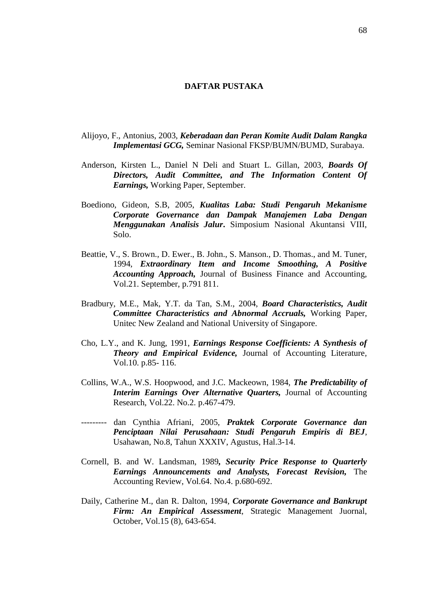## **DAFTAR PUSTAKA**

- Alijoyo, F., Antonius, 2003, *Keberadaan dan Peran Komite Audit Dalam Rangka Implementasi GCG,* Seminar Nasional FKSP/BUMN/BUMD, Surabaya.
- Anderson, Kirsten L., Daniel N Deli and Stuart L. Gillan, 2003, *Boards Of Directors, Audit Committee, and The Information Content Of Earnings,* Working Paper, September.
- Boediono, Gideon, S.B, 2005, *Kualitas Laba: Studi Pengaruh Mekanisme Corporate Governance dan Dampak Manajemen Laba Dengan Menggunakan Analisis Jalur***.** Simposium Nasional Akuntansi VIII, Solo.
- Beattie, V., S. Brown., D. Ewer., B. John., S. Manson., D. Thomas., and M. Tuner, 1994, *Extraordinary Item and Income Smoothing, A Positive Accounting Approach,* Journal of Business Finance and Accounting, Vol.21. September, p.791 811.
- Bradbury, M.E., Mak, Y.T. da Tan, S.M., 2004, *Board Characteristics, Audit Committee Characteristics and Abnormal Accruals,* Working Paper, Unitec New Zealand and National University of Singapore.
- Cho, L.Y., and K. Jung, 1991, *Earnings Response Coefficients: A Synthesis of Theory and Empirical Evidence,* Journal of Accounting Literature*,* Vol.10. p.85- 116.
- Collins, W.A., W.S. Hoopwood, and J.C. Mackeown, 1984, *The Predictability of Interim Earnings Over Alternative Quarters,* Journal of Accounting Research, Vol.22. No.2. p.467-479.
- --------- dan Cynthia Afriani, 2005, *Praktek Corporate Governance dan Penciptaan Nilai Perusahaan: Studi Pengaruh Empiris di BEJ*, Usahawan, No.8, Tahun XXXIV, Agustus, Hal.3-14.
- Cornell, B. and W. Landsman, 1989*, Security Price Response to Quarterly Earnings Announcements and Analysts, Forecast Revision,* The Accounting Review, Vol.64. No.4. p.680-692.
- Daily, Catherine M., dan R. Dalton, 1994, *Corporate Governance and Bankrupt Firm: An Empirical Assessment*, Strategic Management Juornal, October, Vol.15 (8), 643-654.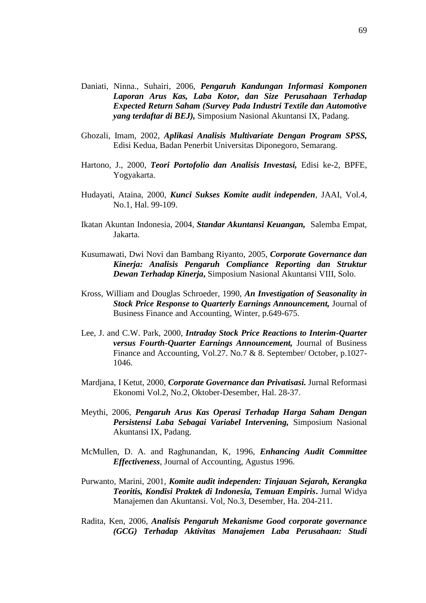- Daniati, Ninna., Suhairi, 2006, *Pengaruh Kandungan Informasi Komponen Laporan Arus Kas, Laba Kotor, dan Size Perusahaan Terhadap Expected Return Saham (Survey Pada Industri Textile dan Automotive yang terdaftar di BEJ),* Simposium Nasional Akuntansi IX, Padang.
- Ghozali, Imam, 2002, *Aplikasi Analisis Multivariate Dengan Program SPSS,* Edisi Kedua, Badan Penerbit Universitas Diponegoro, Semarang.
- Hartono, J., 2000, *Teori Portofolio dan Analisis Investasi,* Edisi ke-2, BPFE, Yogyakarta.
- Hudayati, Ataina, 2000, *Kunci Sukses Komite audit independen*, JAAI, Vol.4, No.1, Hal. 99-109.
- Ikatan Akuntan Indonesia, 2004, *Standar Akuntansi Keuangan,* Salemba Empat, Jakarta.
- Kusumawati, Dwi Novi dan Bambang Riyanto, 2005, *Corporate Governance dan Kinerja: Analisis Pengaruh Compliance Reporting dan Struktur Dewan Terhadap Kinerja***,** Simposium Nasional Akuntansi VIII, Solo.
- Kross, William and Douglas Schroeder, 1990, *An Investigation of Seasonality in Stock Price Response to Quarterly Earnings Announcement,* Journal of Business Finance and Accounting, Winter, p.649-675.
- Lee, J. and C.W. Park, 2000, *Intraday Stock Price Reactions to Interim-Quarter versus Fourth-Quarter Earnings Announcement,* Journal of Business Finance and Accounting, Vol.27. No.7 & 8. September/ October, p.1027- 1046.
- Mardjana, I Ketut, 2000, *Corporate Governance dan Privatisasi.* Jurnal Reformasi Ekonomi Vol.2, No.2, Oktober-Desember, Hal. 28-37.
- Meythi, 2006, *Pengaruh Arus Kas Operasi Terhadap Harga Saham Dengan Persistensi Laba Sebagai Variabel Intervening,* Simposium Nasional Akuntansi IX, Padang.
- McMullen, D. A. and Raghunandan, K, 1996, *Enhancing Audit Committee Effectiveness*, Journal of Accounting, Agustus 1996.
- Purwanto, Marini, 2001, *Komite audit independen: Tinjauan Sejarah, Kerangka Teoritis, Kondisi Praktek di Indonesia, Temuan Empiris***.** Jurnal Widya Manajemen dan Akuntansi. Vol, No.3, Desember, Ha. 204-211.
- Radita, Ken, 2006, *Analisis Pengaruh Mekanisme Good corporate governance (GCG) Terhadap Aktivitas Manajemen Laba Perusahaan: Studi*